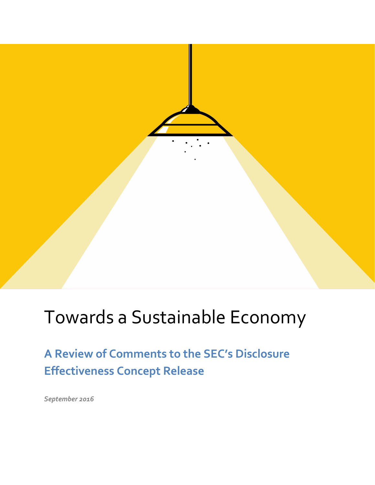# Towards a Sustainable Economy

**A Review of Comments to the SEC's Disclosure Effectiveness Concept Release**

*September 2016*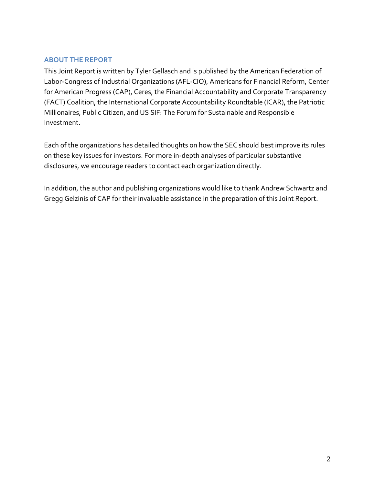#### **ABOUT THE REPORT**

This Joint Report is written by Tyler Gellasch and is published by the American Federation of Labor-Congress of Industrial Organizations (AFL-CIO), Americans for Financial Reform, Center for American Progress (CAP), Ceres, the Financial Accountability and Corporate Transparency (FACT) Coalition, the International Corporate Accountability Roundtable (ICAR), the Patriotic Millionaires, Public Citizen, and US SIF: The Forum for Sustainable and Responsible Investment.

Each of the organizations has detailed thoughts on how the SEC should best improve its rules on these key issues for investors. For more in-depth analyses of particular substantive disclosures, we encourage readers to contact each organization directly.

In addition, the author and publishing organizations would like to thank Andrew Schwartz and Gregg Gelzinis of CAP for their invaluable assistance in the preparation of this Joint Report.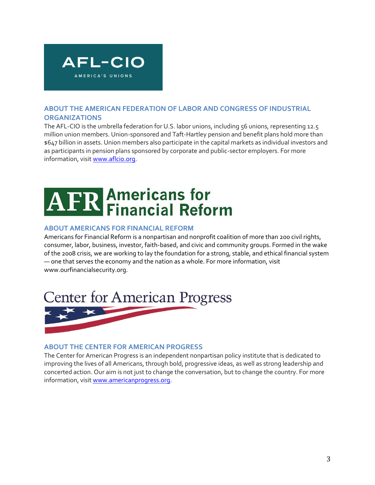

#### **ABOUT THE AMERICAN FEDERATION OF LABOR AND CONGRESS OF INDUSTRIAL ORGANIZATIONS**

The AFL-CIO is the umbrella federation for U.S. labor unions, including 56 unions, representing 12.5 million union members. Union-sponsored and Taft-Hartley pension and benefit plans hold more than \$647 billion in assets. Union members also participate in the capital markets as individual investors and as participants in pension plans sponsored by corporate and public-sector employers. For more information, visi[t www.aflcio.org.](http://www.aflcio.org/)

# **Americans for<br>Financial Reform**

#### **ABOUT AMERICANS FOR FINANCIAL REFORM**

Americans for Financial Reform is a nonpartisan and nonprofit coalition of more than 200 civil rights, consumer, labor, business, investor, faith-based, and civic and community groups. Formed in the wake of the 2008 crisis, we are working to lay the foundation for a strong, stable, and ethical financial system — one that serves the economy and the nation as a whole. For more information, visit www.ourfinancialsecurity.org.



#### **ABOUT THE CENTER FOR AMERICAN PROGRESS**

The Center for American Progress is an independent nonpartisan policy institute that is dedicated to improving the lives of all Americans, through bold, progressive ideas, as well as strong leadership and concerted action. Our aim is not just to change the conversation, but to change the country. For more information, visi[t www.americanprogress.org.](http://www.americanprogress.org/)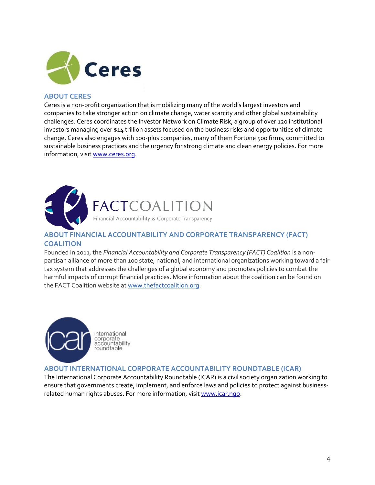

#### **ABOUT CERES**

Ceres is a non-profit organization that is mobilizing many of the world's largest investors and companies to take stronger action on climate change, water scarcity and other global sustainability challenges. Ceres coordinates the Investor Network on Climate Risk, a group of over 120 institutional investors managing over \$14 trillion assets focused on the business risks and opportunities of climate change. Ceres also engages with 100-plus companies, many of them Fortune 500 firms, committed to sustainable business practices and the urgency for strong climate and clean energy policies. For more information, visit [www.ceres.org.](http://www.ceres.org/)



FACTCOALITION<br>Financial Accountability & Corporate Transparency

#### **ABOUT FINANCIAL ACCOUNTABILITY AND CORPORATE TRANSPARENCY (FACT) COALITION**

Founded in 2011, the *Financial Accountability and Corporate Transparency (FACT) Coalition* is a nonpartisan alliance of more than 100 state, national, and international organizations working toward a fair tax system that addresses the challenges of a global economy and promotes policies to combat the harmful impacts of corrupt financial practices. More information about the coalition can be found on the FACT Coalition website at [www.thefactcoalition.org.](http://www.thefactcoalition.org/)



international corporate<br>accountability roundtable

#### **ABOUT INTERNATIONAL CORPORATE ACCOUNTABILITY ROUNDTABLE (ICAR)**

The International Corporate Accountability Roundtable (ICAR) is a civil society organization working to ensure that governments create, implement, and enforce laws and policies to protect against businessrelated human rights abuses. For more information, visi[t www.icar.ngo.](http://www.icar.ngo/)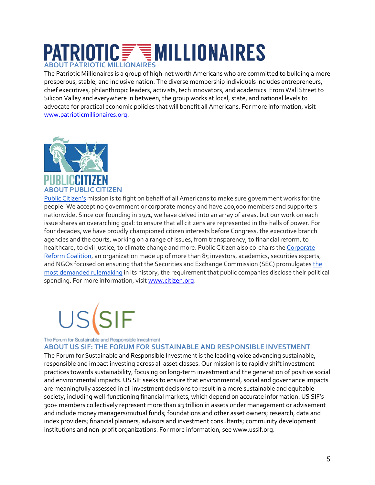### **PATRIOTIC FUNILLIONAIRES ABOUT PATRIOTIC MILLIONAIRES**

The Patriotic Millionaires is a group of high-net worth Americans who are committed to building a more prosperous, stable, and inclusive nation. The diverse membership individuals includes entrepreneurs, chief executives, philanthropic leaders, activists, tech innovators, and academics. From Wall Street to Silicon Valley and everywhere in between, the group works at local, state, and national levels to advocate for practical economic policies that will benefit all Americans. For more information, visit [www.patrioticmillionaires.org.](http://www.patrioticmillionaires.org/)



[Public Citizen's](http://www.citizen.org/Page.aspx?pid=5812) mission is to fight on behalf of all Americans to make sure government works for the people. We accept no government or corporate money and have 400,000 members and supporters nationwide. Since our founding in 1971, we have delved into an array of areas, but our work on each issue shares an overarching goal: to ensure that all citizens are represented in the halls of power. For four decades, we have proudly championed citizen interests before Congress, the executive branch agencies and the courts, working on a range of issues, from transparency, to financial reform, to healthcare, to civil justice, to climate change and more. Public Citizen also co-chairs the [Corporate](http://corporatereformcoalition.org/)  [Reform Coalition,](http://corporatereformcoalition.org/) an organization made up of more than 85 investors, academics, securities experts, and NGOs focused on ensuring that the Securities and Exchange Commission (SEC) promulgates [the](https://www.sec.gov/comments/4-637/4-637.shtml)  [most demanded rulemaking](https://www.sec.gov/comments/4-637/4-637.shtml) in its history, the requirement that public companies disclose their political spending. For more information, visit [www.citizen.org.](http://www.citizen.org/)



The Forum for Sustainable and Responsible Investment

**ABOUT US SIF: THE FORUM FOR SUSTAINABLE AND RESPONSIBLE INVESTMENT** 

The Forum for Sustainable and Responsible Investment is the leading voice advancing sustainable, responsible and impact investing across all asset classes. Our mission is to rapidly shift investment practices towards sustainability, focusing on long-term investment and the generation of positive social and environmental impacts. US SIF seeks to ensure that environmental, social and governance impacts are meaningfully assessed in all investment decisions to result in a more sustainable and equitable society, including well-functioning financial markets, which depend on accurate information. US SIF's 300+ members collectively represent more than \$3 trillion in assets under management or advisement and include money managers/mutual funds; foundations and other asset owners; research, data and index providers; financial planners, advisors and investment consultants; community development institutions and non-profit organizations. For more information, see www.ussif.org.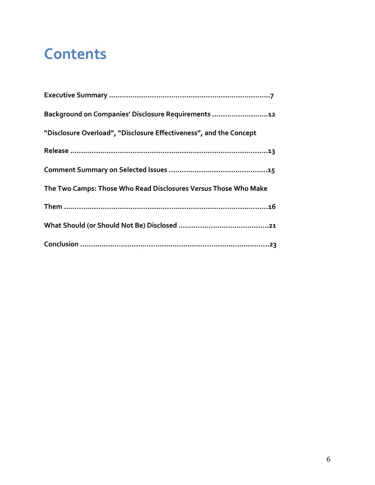## **Contents**

| Background on Companies' Disclosure Requirements 12                |
|--------------------------------------------------------------------|
| "Disclosure Overload", "Disclosure Effectiveness", and the Concept |
|                                                                    |
|                                                                    |
| The Two Camps: Those Who Read Disclosures Versus Those Who Make    |
|                                                                    |
|                                                                    |
|                                                                    |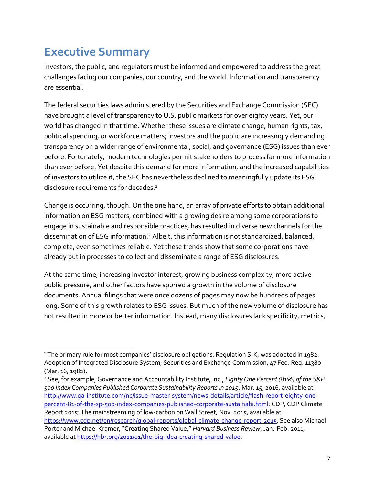### **Executive Summary**

 $\overline{a}$ 

Investors, the public, and regulators must be informed and empowered to address the great challenges facing our companies, our country, and the world. Information and transparency are essential.

The federal securities laws administered by the Securities and Exchange Commission (SEC) have brought a level of transparency to U.S. public markets for over eighty years. Yet, our world has changed in that time. Whether these issues are climate change, human rights, tax, political spending, or workforce matters; investors and the public are increasingly demanding transparency on a wider range of environmental, social, and governance (ESG) issues than ever before. Fortunately, modern technologies permit stakeholders to process far more information than ever before. Yet despite this demand for more information, and the increased capabilities of investors to utilize it, the SEC has nevertheless declined to meaningfully update its ESG disclosure requirements for decades.<sup>1</sup>

Change is occurring, though. On the one hand, an array of private efforts to obtain additional information on ESG matters, combined with a growing desire among some corporations to engage in sustainable and responsible practices, has resulted in diverse new channels for the dissemination of ESG information.<sup>2</sup> Albeit, this information is not standardized, balanced, complete, even sometimes reliable. Yet these trends show that some corporations have already put in processes to collect and disseminate a range of ESG disclosures.

At the same time, increasing investor interest, growing business complexity, more active public pressure, and other factors have spurred a growth in the volume of disclosure documents. Annual filings that were once dozens of pages may now be hundreds of pages long. Some of this growth relates to ESG issues. But much of the new volume of disclosure has not resulted in more or better information. Instead, many disclosures lack specificity, metrics,

<sup>2</sup> See, for example, Governance and Accountability Institute, Inc., *Eighty One Percent (81%) of the S&P 500 Index Companies Published Corporate Sustainability Reports in 2015*, Mar. 15, 2016, available at [http://www.ga-institute.com/nc/issue-master-system/news-details/article/flash-report-eighty-one](http://www.ga-institute.com/nc/issue-master-system/news-details/article/flash-report-eighty-one-percent-81-of-the-sp-500-index-companies-published-corporate-sustainabi.html)[percent-81-of-the-sp-500-index-companies-published-corporate-sustainabi.html;](http://www.ga-institute.com/nc/issue-master-system/news-details/article/flash-report-eighty-one-percent-81-of-the-sp-500-index-companies-published-corporate-sustainabi.html) CDP, CDP Climate Report 2015: The mainstreaming of low-carbon on Wall Street, Nov. 2015, available at [https://www.cdp.net/en/research/global-reports/global-climate-change-report-2015.](https://www.cdp.net/en/research/global-reports/global-climate-change-report-2015) See also Michael Porter and Michael Kramer, "Creating Shared Value," *Harvard Business Review*, Jan.-Feb. 2011, available at [https://hbr.org/2011/01/the-big-idea-creating-shared-value.](https://hbr.org/2011/01/the-big-idea-creating-shared-value)

<sup>&</sup>lt;sup>1</sup> The primary rule for most companies' disclosure obligations, Regulation S-K, was adopted in 1982. Adoption of Integrated Disclosure System, Securities and Exchange Commission, 47 Fed. Reg. 11380 (Mar. 16, 1982).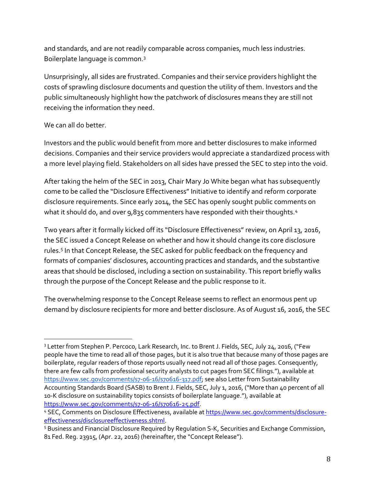and standards, and are not readily comparable across companies, much less industries. Boilerplate language is common.<sup>3</sup>

Unsurprisingly, all sides are frustrated. Companies and their service providers highlight the costs of sprawling disclosure documents and question the utility of them. Investors and the public simultaneously highlight how the patchwork of disclosures means they are still not receiving the information they need.

### We can all do better.

 $\overline{a}$ 

Investors and the public would benefit from more and better disclosures to make informed decisions. Companies and their service providers would appreciate a standardized process with a more level playing field. Stakeholders on all sides have pressed the SEC to step into the void.

After taking the helm of the SEC in 2013, Chair Mary Jo White began what has subsequently come to be called the "Disclosure Effectiveness" Initiative to identify and reform corporate disclosure requirements. Since early 2014, the SEC has openly sought public comments on what it should do, and over 9,835 commenters have responded with their thoughts.<sup>4</sup>

Two years after it formally kicked off its "Disclosure Effectiveness" review, on April 13, 2016, the SEC issued a Concept Release on whether and how it should change its core disclosure rules.<sup>5</sup> In that Concept Release, the SEC asked for public feedback on the frequency and formats of companies' disclosures, accounting practices and standards, and the substantive areas that should be disclosed, including a section on sustainability. This report briefly walks through the purpose of the Concept Release and the public response to it.

The overwhelming response to the Concept Release seems to reflect an enormous pent up demand by disclosure recipients for more and better disclosure. As of August 16, 2016, the SEC

<sup>&</sup>lt;sup>3</sup> Letter from Stephen P. Percoco, Lark Research, Inc. to Brent J. Fields, SEC, July 24, 2016, ("Few people have the time to read all of those pages, but it is also true that because many of those pages are boilerplate, regular readers of those reports usually need not read all of those pages. Consequently, there are few calls from professional security analysts to cut pages from SEC filings."), available at [https://www.sec.gov/comments/s7-06-16/s70616-317.pdf;](https://www.sec.gov/comments/s7-06-16/s70616-317.pdf) see also Letter from Sustainability Accounting Standards Board (SASB) to Brent J. Fields, SEC, July 1, 2016, ("More than 40 percent of all 10-K disclosure on sustainability topics consists of boilerplate language."), available at [https://www.sec.gov/comments/s7-06-16/s70616-25.pdf.](https://www.sec.gov/comments/s7-06-16/s70616-25.pdf)

<sup>4</sup> SEC, Comments on Disclosure Effectiveness, available a[t https://www.sec.gov/comments/disclosure](https://www.sec.gov/comments/disclosure-effectiveness/disclosureeffectiveness.shtml)[effectiveness/disclosureeffectiveness.shtml.](https://www.sec.gov/comments/disclosure-effectiveness/disclosureeffectiveness.shtml)

<sup>5</sup> Business and Financial Disclosure Required by Regulation S-K, Securities and Exchange Commission, 81 Fed. Reg. 23915, (Apr. 22, 2016) (hereinafter, the "Concept Release").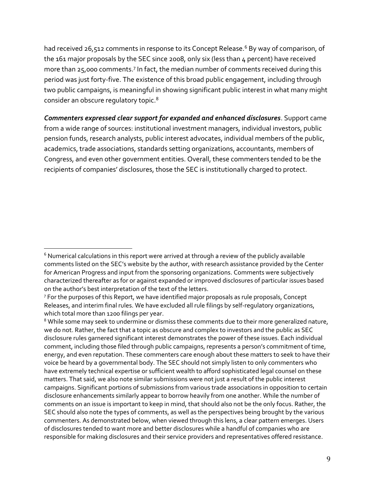had received 26,512 comments in response to its Concept Release.<sup>6</sup> By way of comparison, of the 161 major proposals by the SEC since 2008, only six (less than 4 percent) have received more than 25,000 comments.<sup>7</sup> In fact, the median number of comments received during this period was just forty-five. The existence of this broad public engagement, including through two public campaigns, is meaningful in showing significant public interest in what many might consider an obscure regulatory topic.<sup>8</sup>

*Commenters expressed clear support for expanded and enhanced disclosures*. Support came from a wide range of sources: institutional investment managers, individual investors, public pension funds, research analysts, public interest advocates, individual members of the public, academics, trade associations, standards setting organizations, accountants, members of Congress, and even other government entities. Overall, these commenters tended to be the recipients of companies' disclosures, those the SEC is institutionally charged to protect.

 $\overline{a}$  $6$  Numerical calculations in this report were arrived at through a review of the publicly available comments listed on the SEC's website by the author, with research assistance provided by the Center for American Progress and input from the sponsoring organizations. Comments were subjectively characterized thereafter as for or against expanded or improved disclosures of particular issues based on the author's best interpretation of the text of the letters.

<sup>&</sup>lt;sup>7</sup> For the purposes of this Report, we have identified major proposals as rule proposals, Concept Releases, and interim final rules. We have excluded all rule filings by self-regulatory organizations, which total more than 1200 filings per year.

<sup>&</sup>lt;sup>8</sup> While some may seek to undermine or dismiss these comments due to their more generalized nature, we do not. Rather, the fact that a topic as obscure and complex to investors and the public as SEC disclosure rules garnered significant interest demonstrates the power of these issues. Each individual comment, including those filed through public campaigns, represents a person's commitment of time, energy, and even reputation. These commenters care enough about these matters to seek to have their voice be heard by a governmental body. The SEC should not simply listen to only commenters who have extremely technical expertise or sufficient wealth to afford sophisticated legal counsel on these matters. That said, we also note similar submissions were not just a result of the public interest campaigns. Significant portions of submissions from various trade associations in opposition to certain disclosure enhancements similarly appear to borrow heavily from one another. While the number of comments on an issue is important to keep in mind, that should also not be the only focus. Rather, the SEC should also note the types of comments, as well as the perspectives being brought by the various commenters. As demonstrated below, when viewed through this lens, a clear pattern emerges. Users of disclosures tended to want more and better disclosures while a handful of companies who are responsible for making disclosures and their service providers and representatives offered resistance.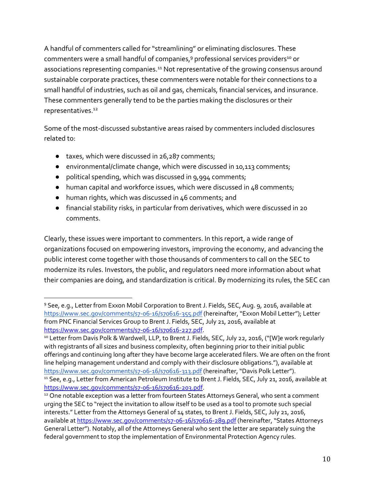A handful of commenters called for "streamlining" or eliminating disclosures. These commenters were a small handful of companies,<sup>9</sup> professional services providers<sup>10</sup> or associations representing companies.<sup>11</sup> Not representative of the growing consensus around sustainable corporate practices, these commenters were notable for their connections to a small handful of industries, such as oil and gas, chemicals, financial services, and insurance. These commenters generally tend to be the parties making the disclosures or their representatives.<sup>12</sup>

Some of the most-discussed substantive areas raised by commenters included disclosures related to:

- taxes, which were discussed in 26,287 comments;
- environmental/climate change, which were discussed in 10,113 comments;
- political spending, which was discussed in 9,994 comments;
- human capital and workforce issues, which were discussed in 48 comments;
- human rights, which was discussed in 46 comments; and
- financial stability risks, in particular from derivatives, which were discussed in 20 comments.

Clearly, these issues were important to commenters. In this report, a wide range of organizations focused on empowering investors, improving the economy, and advancing the public interest come together with those thousands of commenters to call on the SEC to modernize its rules. Investors, the public, and regulators need more information about what their companies are doing, and standardization is critical. By modernizing its rules, the SEC can

<sup>9</sup> See, e.g., Letter from Exxon Mobil Corporation to Brent J. Fields, SEC, Aug. 9, 2016, available at <https://www.sec.gov/comments/s7-06-16/s70616-355.pdf> (hereinafter, "Exxon Mobil Letter"); Letter from PNC Financial Services Group to Brent J. Fields, SEC, July 21, 2016, available at [https://www.sec.gov/comments/s7-06-16/s70616-227.pdf.](https://www.sec.gov/comments/s7-06-16/s70616-227.pdf)

<sup>&</sup>lt;sup>10</sup> Letter from Davis Polk & Wardwell, LLP, to Brent J. Fields, SEC, July 22, 2016, ("[W]e work regularly with registrants of all sizes and business complexity, often beginning prior to their initial public offerings and continuing long after they have become large accelerated filers. We are often on the front line helping management understand and comply with their disclosure obligations."), available at <https://www.sec.gov/comments/s7-06-16/s70616-313.pdf> (hereinafter, "Davis Polk Letter"). <sup>11</sup> See, e.g., Letter from American Petroleum Institute to Brent J. Fields, SEC, July 21, 2016, available at

[https://www.sec.gov/comments/s7-06-16/s70616-203.pdf.](https://www.sec.gov/comments/s7-06-16/s70616-203.pdf)

<sup>&</sup>lt;sup>12</sup> One notable exception was a letter from fourteen States Attorneys General, who sent a comment urging the SEC to "reject the invitation to allow itself to be used as a tool to promote such special interests." Letter from the Attorneys General of 14 states, to Brent J. Fields, SEC, July 21, 2016, available at<https://www.sec.gov/comments/s7-06-16/s70616-289.pdf> (hereinafter, "States Attorneys General Letter"). Notably, all of the Attorneys General who sent the letter are separately suing the federal government to stop the implementation of Environmental Protection Agency rules.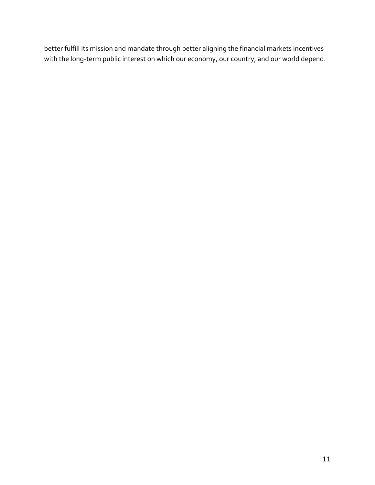better fulfill its mission and mandate through better aligning the financial markets incentives with the long-term public interest on which our economy, our country, and our world depend.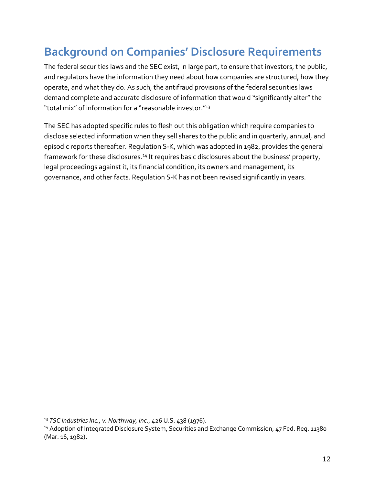### **Background on Companies' Disclosure Requirements**

The federal securities laws and the SEC exist, in large part, to ensure that investors, the public, and regulators have the information they need about how companies are structured, how they operate, and what they do. As such, the antifraud provisions of the federal securities laws demand complete and accurate disclosure of information that would "significantly alter" the "total mix" of information for a "reasonable investor."<sup>13</sup>

The SEC has adopted specific rules to flesh out this obligation which require companies to disclose selected information when they sell shares to the public and in quarterly, annual, and episodic reports thereafter. Regulation S-K, which was adopted in 1982, provides the general framework for these disclosures.<sup>14</sup> It requires basic disclosures about the business' property, legal proceedings against it, its financial condition, its owners and management, its governance, and other facts. Regulation S-K has not been revised significantly in years.

l

<sup>13</sup> *TSC Industries Inc., v. Northway, Inc*., 426 U.S. 438 (1976).

<sup>&</sup>lt;sup>14</sup> Adoption of Integrated Disclosure System, Securities and Exchange Commission, 47 Fed. Reg. 11380 (Mar. 16, 1982).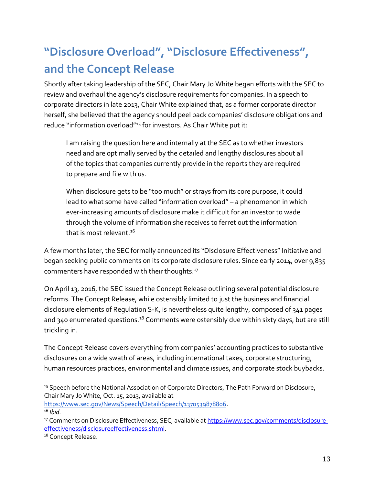### **"Disclosure Overload", "Disclosure Effectiveness", and the Concept Release**

Shortly after taking leadership of the SEC, Chair Mary Jo White began efforts with the SEC to review and overhaul the agency's disclosure requirements for companies. In a speech to corporate directors in late 2013, Chair White explained that, as a former corporate director herself, she believed that the agency should peel back companies' disclosure obligations and reduce "information overload"<sup>15</sup> for investors. As Chair White put it:

I am raising the question here and internally at the SEC as to whether investors need and are optimally served by the detailed and lengthy disclosures about all of the topics that companies currently provide in the reports they are required to prepare and file with us.

When disclosure gets to be "too much" or strays from its core purpose, it could lead to what some have called "information overload" – a phenomenon in which ever-increasing amounts of disclosure make it difficult for an investor to wade through the volume of information she receives to ferret out the information that is most relevant. $16$ 

A few months later, the SEC formally announced its "Disclosure Effectiveness" Initiative and began seeking public comments on its corporate disclosure rules. Since early 2014, over 9,835 commenters have responded with their thoughts.<sup>17</sup>

On April 13, 2016, the SEC issued the Concept Release outlining several potential disclosure reforms. The Concept Release, while ostensibly limited to just the business and financial disclosure elements of Regulation S-K, is nevertheless quite lengthy, composed of 341 pages and 340 enumerated questions.<sup>18</sup> Comments were ostensibly due within sixty days, but are still trickling in.

The Concept Release covers everything from companies' accounting practices to substantive disclosures on a wide swath of areas, including international taxes, corporate structuring, human resources practices, environmental and climate issues, and corporate stock buybacks.

[https://www.sec.gov/News/Speech/Detail/Speech/1370539878806.](https://www.sec.gov/News/Speech/Detail/Speech/1370539878806) <sup>16</sup> *Ibid.*

<sup>&</sup>lt;sup>15</sup> Speech before the National Association of Corporate Directors, The Path Forward on Disclosure, Chair Mary Jo White, Oct. 15, 2013, available at

<sup>&</sup>lt;sup>17</sup> Comments on Disclosure Effectiveness, SEC, available at [https://www.sec.gov/comments/disclosure](https://www.sec.gov/comments/disclosure-effectiveness/disclosureeffectiveness.shtml)[effectiveness/disclosureeffectiveness.shtml.](https://www.sec.gov/comments/disclosure-effectiveness/disclosureeffectiveness.shtml)

<sup>&</sup>lt;sup>18</sup> Concept Release.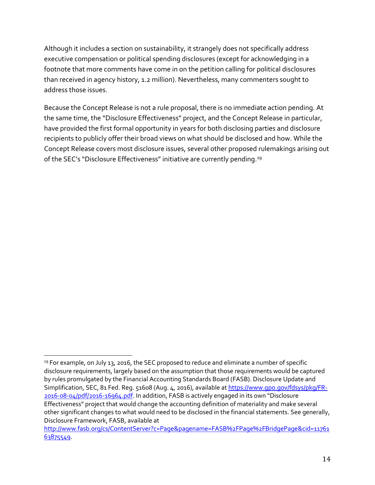Although it includes a section on sustainability, it strangely does not specifically address executive compensation or political spending disclosures (except for acknowledging in a footnote that more comments have come in on the petition calling for political disclosures than received in agency history, 1.2 million). Nevertheless, many commenters sought to address those issues.

Because the Concept Release is not a rule proposal, there is no immediate action pending. At the same time, the "Disclosure Effectiveness" project, and the Concept Release in particular, have provided the first formal opportunity in years for both disclosing parties and disclosure recipients to publicly offer their broad views on what should be disclosed and how. While the Concept Release covers most disclosure issues, several other proposed rulemakings arising out of the SEC's "Disclosure Effectiveness" initiative are currently pending.<sup>19</sup>

 $19$  For example, on July 13, 2016, the SEC proposed to reduce and eliminate a number of specific disclosure requirements, largely based on the assumption that those requirements would be captured by rules promulgated by the Financial Accounting Standards Board (FASB). Disclosure Update and Simplification, SEC, 81 Fed. Reg. 51608 (Aug. 4, 2016), available at [https://www.gpo.gov/fdsys/pkg/FR-](https://www.gpo.gov/fdsys/pkg/FR-2016-08-04/pdf/2016-16964.pdf)[2016-08-04/pdf/2016-16964.pdf](https://www.gpo.gov/fdsys/pkg/FR-2016-08-04/pdf/2016-16964.pdf). In addition, FASB is actively engaged in its own "Disclosure Effectiveness" project that would change the accounting definition of materiality and make several other significant changes to what would need to be disclosed in the financial statements. See generally, Disclosure Framework, FASB, available at

[http://www.fasb.org/cs/ContentServer?c=Page&pagename=FASB%2FPage%2FBridgePage&cid=11761](http://www.fasb.org/cs/ContentServer?c=Page&pagename=FASB%2FPage%2FBridgePage&cid=1176163875549) [63875549.](http://www.fasb.org/cs/ContentServer?c=Page&pagename=FASB%2FPage%2FBridgePage&cid=1176163875549)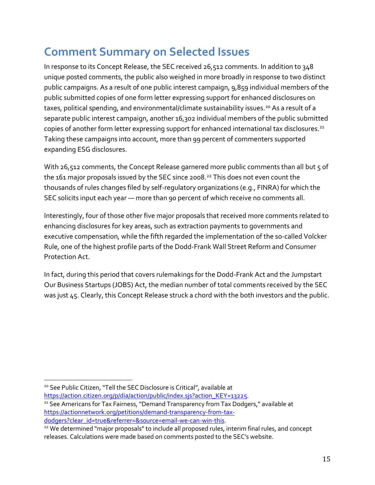### **Comment Summary on Selected Issues**

In response to its Concept Release, the SEC received 26,512 comments. In addition to 348 unique posted comments, the public also weighed in more broadly in response to two distinct public campaigns. As a result of one public interest campaign, 9,859 individual members of the public submitted copies of one form letter expressing support for enhanced disclosures on taxes, political spending, and environmental/climate sustainability issues.<sup>20</sup> As a result of a separate public interest campaign, another 16,302 individual members of the public submitted copies of another form letter expressing support for enhanced international tax disclosures.<sup>21</sup> Taking these campaigns into account, more than 99 percent of commenters supported expanding ESG disclosures.

With 26,512 comments, the Concept Release garnered more public comments than all but 5 of the  $161$  major proposals issued by the SEC since 2008.<sup>22</sup> This does not even count the thousands of rules changes filed by self-regulatory organizations (e.g., FINRA) for which the SEC solicits input each year — more than 90 percent of which receive no comments all.

Interestingly, four of those other five major proposals that received more comments related to enhancing disclosures for key areas, such as extraction payments to governments and executive compensation, while the fifth regarded the implementation of the so-called Volcker Rule, one of the highest profile parts of the Dodd-Frank Wall Street Reform and Consumer Protection Act.

In fact, during this period that covers rulemakings for the Dodd-Frank Act and the Jumpstart Our Business Startups (JOBS) Act, the median number of total comments received by the SEC was just 45. Clearly, this Concept Release struck a chord with the both investors and the public.

 $\overline{a}$ 

[https://action.citizen.org/p/dia/action/public/index.sjs?action\\_KEY=13225.](https://action.citizen.org/p/dia/action/public/index.sjs?action_KEY=13225)

<sup>21</sup> See Americans for Tax Fairness, "Demand Transparency from Tax Dodgers," available at [https://actionnetwork.org/petitions/demand-transparency-from-tax](https://actionnetwork.org/petitions/demand-transparency-from-tax-dodgers?clear_id=true&referrer=&source=email-we-can-win-this)[dodgers?clear\\_id=true&referrer=&source=email-we-can-win-this.](https://actionnetwork.org/petitions/demand-transparency-from-tax-dodgers?clear_id=true&referrer=&source=email-we-can-win-this)

<sup>&</sup>lt;sup>20</sup> See Public Citizen, "Tell the SEC Disclosure is Critical", available at

<sup>&</sup>lt;sup>22</sup> We determined "major proposals" to include all proposed rules, interim final rules, and concept releases. Calculations were made based on comments posted to the SEC's website.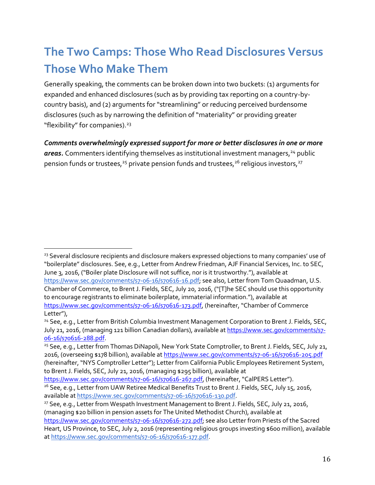### **The Two Camps: Those Who Read Disclosures Versus Those Who Make Them**

Generally speaking, the comments can be broken down into two buckets: (1) arguments for expanded and enhanced disclosures (such as by providing tax reporting on a country-bycountry basis), and (2) arguments for "streamlining" or reducing perceived burdensome disclosures (such as by narrowing the definition of "materiality" or providing greater "flexibility" for companies).<sup>23</sup>

*Comments overwhelmingly expressed support for more or better disclosures in one or more*  areas. Commenters identifying themselves as institutional investment managers,<sup>24</sup> public pension funds or trustees,<sup>25</sup> private pension funds and trustees,<sup>26</sup> religious investors,<sup>27</sup>

 $\overline{a}$ 

<https://www.sec.gov/comments/s7-06-16/s70616-267.pdf>, (hereinafter, "CalPERS Letter").

<sup>&</sup>lt;sup>23</sup> Several disclosure recipients and disclosure makers expressed objections to many companies' use of "boilerplate" disclosures. See, e.g., Letter from Andrew Friedman, AJF Financial Services, Inc. to SEC, June 3, 2016, ("Boiler plate Disclosure will not suffice, nor is it trustworthy."), available at [https://www.sec.gov/comments/s7-06-16/s70616-16.pdf;](https://www.sec.gov/comments/s7-06-16/s70616-16.pdf) see also, Letter from Tom Quaadman, U.S. Chamber of Commerce, to Brent J. Fields, SEC, July 20, 2016, ("[T]he SEC should use this opportunity to encourage registrants to eliminate boilerplate, immaterial information."), available at <https://www.sec.gov/comments/s7-06-16/s70616-173.pdf>, (hereinafter, "Chamber of Commerce Letter"),

<sup>&</sup>lt;sup>24</sup> See, e.g., Letter from British Columbia Investment Management Corporation to Brent J. Fields, SEC, July 21, 2016, (managing 121 billion Canadian dollars), available at [https://www.sec.gov/comments/s7-](https://www.sec.gov/comments/s7-06-16/s70616-288.pdf) [06-16/s70616-288.pdf.](https://www.sec.gov/comments/s7-06-16/s70616-288.pdf)

<sup>&</sup>lt;sup>25</sup> See, e.g., Letter from Thomas DiNapoli, New York State Comptroller, to Brent J. Fields, SEC, July 21, 2016, (overseeing \$178 billion), available a[t https://www.sec.gov/comments/s7-06-16/s70616-205.pdf](https://www.sec.gov/comments/s7-06-16/s70616-205.pdf) (hereinafter, "NYS Comptroller Letter"); Letter from California Public Employees Retirement System, to Brent J. Fields, SEC, July 21, 2016, (managing \$295 billion), available at

<sup>&</sup>lt;sup>26</sup> See, e.g., Letter from UAW Retiree Medical Benefits Trust to Brent J. Fields, SEC, July 15, 2016, available at [https://www.sec.gov/comments/s7-06-16/s70616-130.pdf.](https://www.sec.gov/comments/s7-06-16/s70616-130.pdf)

<sup>&</sup>lt;sup>27</sup> See, e.g., Letter from Wespath Investment Management to Brent J. Fields, SEC, July 21, 2016, (managing \$20 billion in pension assets for The United Methodist Church), available at

[https://www.sec.gov/comments/s7-06-16/s70616-272.pdf;](https://www.sec.gov/comments/s7-06-16/s70616-272.pdf) see also Letter from Priests of the Sacred Heart, US Province, to SEC, July 2, 2016 (representing religious groups investing \$600 million), available a[t https://www.sec.gov/comments/s7-06-16/s70616-177.pdf.](https://www.sec.gov/comments/s7-06-16/s70616-177.pdf)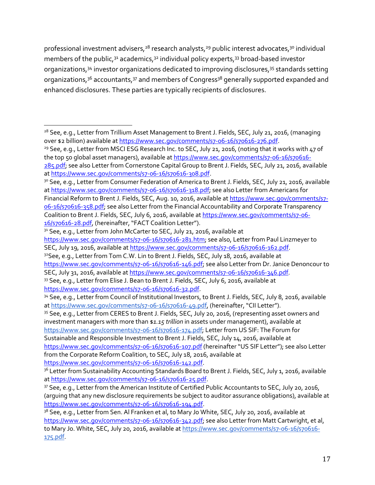professional investment advisers,<sup>28</sup> research analysts,<sup>29</sup> public interest advocates,<sup>30</sup> individual members of the public,  $31$  academics,  $32$  individual policy experts,  $33$  broad-based investor organizations,<sup>34</sup> investor organizations dedicated to improving disclosures,<sup>35</sup> standards setting organizations, $36$  accountants, $37$  and members of Congress<sup>38</sup> generally supported expanded and enhanced disclosures. These parties are typically recipients of disclosures.

32See, e.g., Letter from Tom C.W. Lin to Brent J. Fields, SEC, July 18, 2016, available at [https://www.sec.gov/comments/s7-06-16/s70616-146.pdf;](https://www.sec.gov/comments/s7-06-16/s70616-146.pdf) see also Letter from Dr. Janice Denoncour to

SEC, July 31, 2016, available a[t https://www.sec.gov/comments/s7-06-16/s70616-346.pdf.](https://www.sec.gov/comments/s7-06-16/s70616-346.pdf)

 $\overline{a}$ <sup>28</sup> See, e.g., Letter from Trillium Asset Management to Brent J. Fields, SEC, July 21, 2016, (managing over \$2 billion) available at [https://www.sec.gov/comments/s7-06-16/s70616-276.pdf.](https://www.sec.gov/comments/s7-06-16/s70616-276.pdf)

<sup>&</sup>lt;sup>29</sup> See, e.g., Letter from MSCI ESG Research Inc. to SEC, July 21, 2016, (noting that it works with 47 of the top 50 global asset managers), available a[t https://www.sec.gov/comments/s7-06-16/s70616-](https://www.sec.gov/comments/s7-06-16/s70616-285.pdf) [285.pdf;](https://www.sec.gov/comments/s7-06-16/s70616-285.pdf) see also Letter from Cornerstone Capital Group to Brent J. Fields, SEC, July 21, 2016, available

a[t https://www.sec.gov/comments/s7-06-16/s70616-308.pdf.](https://www.sec.gov/comments/s7-06-16/s70616-308.pdf)

<sup>&</sup>lt;sup>30</sup> See, e.g., Letter from Consumer Federation of America to Brent J. Fields, SEC, July 21, 2016, available a[t https://www.sec.gov/comments/s7-06-16/s70616-318.pdf;](https://www.sec.gov/comments/s7-06-16/s70616-318.pdf) see also Letter from Americans for

Financial Reform to Brent J. Fields, SEC, Aug. 10, 2016, available at [https://www.sec.gov/comments/s7-](https://www.sec.gov/comments/s7-06-16/s70616-358.pdf) [06-16/s70616-358.pdf;](https://www.sec.gov/comments/s7-06-16/s70616-358.pdf) see also Letter from the Financial Accountability and Corporate Transparency Coalition to Brent J. Fields, SEC, July 6, 2016, available a[t https://www.sec.gov/comments/s7-06-](https://www.sec.gov/comments/s7-06-16/s70616-28.pdf) [16/s70616-28.pdf](https://www.sec.gov/comments/s7-06-16/s70616-28.pdf), (hereinafter, "FACT Coalition Letter").

<sup>&</sup>lt;sup>31</sup> See, e.g., Letter from John McCarter to SEC, July 21, 2016, available at

[https://www.sec.gov/comments/s7-06-16/s70616-281.htm;](https://www.sec.gov/comments/s7-06-16/s70616-281.htm) see also, Letter from Paul Linzmeyer to SEC, July 19, 2016, available a[t https://www.sec.gov/comments/s7-06-16/s70616-162.pdf.](https://www.sec.gov/comments/s7-06-16/s70616-162.pdf)

<sup>33</sup> See, e.g., Letter from Elise J. Bean to Brent J. Fields, SEC, July 6, 2016, available at [https://www.sec.gov/comments/s7-06-16/s70616-32.pdf.](https://www.sec.gov/comments/s7-06-16/s70616-32.pdf)

<sup>34</sup> See, e.g., Letter from Council of Institutional Investors, to Brent J. Fields, SEC, July 8, 2016, available a[t https://www.sec.gov/comments/s7-06-16/s70616-49.pdf](https://www.sec.gov/comments/s7-06-16/s70616-49.pdf), (hereinafter, "CII Letter").

<sup>35</sup> See, e.g., Letter from CERES to Brent J. Fields, SEC, July 20, 2016, (representing asset owners and investment managers with more than \$*1.15 trillion* in assets under management), available at [https://www.sec.gov/comments/s7-06-16/s70616-174.pdf;](https://www.sec.gov/comments/s7-06-16/s70616-174.pdf) Letter from US SIF: The Forum for Sustainable and Responsible Investment to Brent J. Fields, SEC, July 14, 2016, available at <https://www.sec.gov/comments/s7-06-16/s70616-107.pdf> (hereinafter "US SIF Letter"); see also Letter from the Corporate Reform Coalition, to SEC, July 18, 2016, available at

[https://www.sec.gov/comments/s7-06-16/s70616-142.pdf.](https://www.sec.gov/comments/s7-06-16/s70616-142.pdf)

<sup>&</sup>lt;sup>36</sup> Letter from Sustainability Accounting Standards Board to Brent J. Fields, SEC, July 1, 2016, available a[t https://www.sec.gov/comments/s7-06-16/s70616-25.pdf.](https://www.sec.gov/comments/s7-06-16/s70616-25.pdf)

<sup>37</sup> See, e.g., Letter from the American Institute of Certified Public Accountants to SEC, July 20, 2016, (arguing that any new disclosure requirements be subject to auditor assurance obligations), available at [https://www.sec.gov/comments/s7-06-16/s70616-194.pdf.](https://www.sec.gov/comments/s7-06-16/s70616-194.pdf)

<sup>&</sup>lt;sup>38</sup> See, e.g., Letter from Sen. Al Franken et al, to Mary Jo White, SEC, July 20, 2016, available at [https://www.sec.gov/comments/s7-06-16/s70616-342.pdf;](https://www.sec.gov/comments/s7-06-16/s70616-342.pdf) see also Letter from Matt Cartwright, et al, to Mary Jo. White, SEC, July 20, 2016, available at [https://www.sec.gov/comments/s7-06-16/s70616-](https://www.sec.gov/comments/s7-06-16/s70616-175.pdf) [175.pdf.](https://www.sec.gov/comments/s7-06-16/s70616-175.pdf)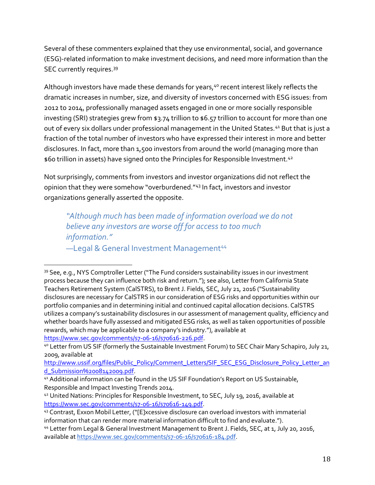Several of these commenters explained that they use environmental, social, and governance (ESG)-related information to make investment decisions, and need more information than the SEC currently requires.<sup>39</sup>

Although investors have made these demands for years,<sup>40</sup> recent interest likely reflects the dramatic increases in number, size, and diversity of investors concerned with ESG issues: from 2012 to 2014, professionally managed assets engaged in one or more socially responsible investing (SRI) strategies grew from \$3.74 trillion to \$6.57 trillion to account for more than one out of every six dollars under professional management in the United States.<sup>41</sup> But that is just a fraction of the total number of investors who have expressed their interest in more and better disclosures. In fact, more than 1,500 investors from around the world (managing more than \$60 trillion in assets) have signed onto the Principles for Responsible Investment.<sup>42</sup>

Not surprisingly, comments from investors and investor organizations did not reflect the opinion that they were somehow "overburdened."<sup>43</sup> In fact, investors and investor organizations generally asserted the opposite.

*"Although much has been made of information overload we do not believe any investors are worse off for access to too much information."* -Legal & General Investment Management<sup>44</sup>

<sup>39</sup> See, e.g., NYS Comptroller Letter ("The Fund considers sustainability issues in our investment process because they can influence both risk and return."); see also, Letter from California State Teachers Retirement System (CalSTRS), to Brent J. Fields, SEC, July 21, 2016 ("Sustainability disclosures are necessary for CalSTRS in our consideration of ESG risks and opportunities within our portfolio companies and in determining initial and continued capital allocation decisions. CalSTRS utilizes a company's sustainability disclosures in our assessment of management quality, efficiency and whether boards have fully assessed and mitigated ESG risks, as well as taken opportunities of possible rewards, which may be applicable to a company's industry."), available at [https://www.sec.gov/comments/s7-06-16/s70616-226.pdf.](https://www.sec.gov/comments/s7-06-16/s70616-226.pdf)

<sup>40</sup> Letter from US SIF (formerly the Sustainable Investment Forum) to SEC Chair Mary Schapiro, July 21, 2009, available at

[http://www.ussif.org/files/Public\\_Policy/Comment\\_Letters/SIF\\_SEC\\_ESG\\_Disclosure\\_Policy\\_Letter\\_an](http://www.ussif.org/files/Public_Policy/Comment_Letters/SIF_SEC_ESG_Disclosure_Policy_Letter_and_Submission%2008142009.pdf) [d\\_Submission%2008142009.pdf.](http://www.ussif.org/files/Public_Policy/Comment_Letters/SIF_SEC_ESG_Disclosure_Policy_Letter_and_Submission%2008142009.pdf)

<sup>41</sup> Additional information can be found in the US SIF Foundation's Report on US Sustainable, Responsible and Impact Investing Trends 2014.

<sup>42</sup> United Nations: Principles for Responsible Investment, to SEC, July 19, 2016, available at [https://www.sec.gov/comments/s7-06-16/s70616-149.pdf.](https://www.sec.gov/comments/s7-06-16/s70616-149.pdf)

<sup>43</sup> Contrast, Exxon Mobil Letter, ("[E]xcessive disclosure can overload investors with immaterial information that can render more material information difficult to find and evaluate.").

<sup>44</sup> Letter from Legal & General Investment Management to Brent J. Fields, SEC, at 1, July 20, 2016, available at [https://www.sec.gov/comments/s7-06-16/s70616-184.pdf.](https://www.sec.gov/comments/s7-06-16/s70616-184.pdf)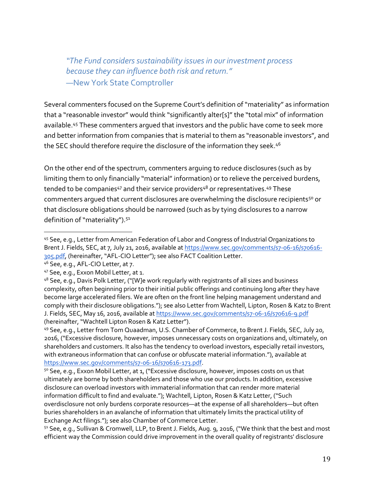*"The Fund considers sustainability issues in our investment process because they can influence both risk and return."* —New York State Comptroller

Several commenters focused on the Supreme Court's definition of "materiality" as information that a "reasonable investor" would think "significantly alter[s]" the "total mix" of information available.<sup>45</sup> These commenters argued that investors and the public have come to seek more and better information from companies that is material to them as "reasonable investors", and the SEC should therefore require the disclosure of the information they seek.<sup>46</sup>

On the other end of the spectrum, commenters arguing to reduce disclosures (such as by limiting them to only financially "material" information) or to relieve the perceived burdens, tended to be companies<sup>47</sup> and their service providers<sup>48</sup> or representatives.<sup>49</sup> These commenters arqued that current disclosures are overwhelming the disclosure recipients<sup>50</sup> or that disclosure obligations should be narrowed (such as by tying disclosures to a narrow definition of "materiality").<sup>51</sup>

l

<sup>49</sup> See, e.g., Letter from Tom Quaadman, U.S. Chamber of Commerce, to Brent J. Fields, SEC, July 20, 2016, ("Excessive disclosure, however, imposes unnecessary costs on organizations and, ultimately, on shareholders and customers. It also has the tendency to overload investors, especially retail investors, with extraneous information that can confuse or obfuscate material information."), available at [https://www.sec.gov/comments/s7-06-16/s70616-173.pdf.](https://www.sec.gov/comments/s7-06-16/s70616-173.pdf)

<sup>50</sup> See, e.g., Exxon Mobil Letter, at 1, ("Excessive disclosure, however, imposes costs on us that ultimately are borne by both shareholders and those who use our products. In addition, excessive disclosure can overload investors with immaterial information that can render more material information difficult to find and evaluate."); Wachtell, Lipton, Rosen & Katz Letter, ("Such overdisclosure not only burdens corporate resources—at the expense of all shareholders—but often buries shareholders in an avalanche of information that ultimately limits the practical utility of Exchange Act filings."); see also Chamber of Commerce Letter.

51 See, e.g., Sullivan & Cromwell, LLP, to Brent J. Fields, Aug. 9, 2016, ("We think that the best and most efficient way the Commission could drive improvement in the overall quality of registrants' disclosure

<sup>45</sup> See, e.g., Letter from American Federation of Labor and Congress of Industrial Organizations to Brent J. Fields, SEC, at 7, July 21, 2016, available a[t https://www.sec.gov/comments/s7-06-16/s70616-](https://www.sec.gov/comments/s7-06-16/s70616-305.pdf) [305.pdf](https://www.sec.gov/comments/s7-06-16/s70616-305.pdf), (hereinafter, "AFL-CIO Letter"); see also FACT Coalition Letter.

<sup>46</sup> See, e.g., AFL-CIO Letter, at 7.

<sup>47</sup> See, e.g., Exxon Mobil Letter, at 1.

<sup>48</sup> See, e.g., Davis Polk Letter, ("[W]e work regularly with registrants of all sizes and business complexity, often beginning prior to their initial public offerings and continuing long after they have become large accelerated filers. We are often on the front line helping management understand and comply with their disclosure obligations."); see also Letter from Wachtell, Lipton, Rosen & Katz to Brent J. Fields, SEC, May 16, 2016, available at<https://www.sec.gov/comments/s7-06-16/s70616-9.pdf> (hereinafter, "Wachtell Lipton Rosen & Katz Letter").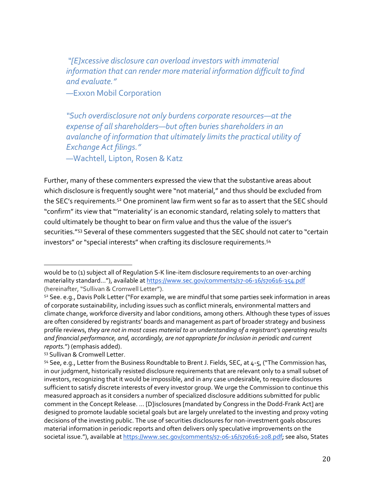*"[E]xcessive disclosure can overload investors with immaterial information that can render more material information difficult to find and evaluate."*

—Exxon Mobil Corporation

*"Such overdisclosure not only burdens corporate resources—at the expense of all shareholders—but often buries shareholders in an avalanche of information that ultimately limits the practical utility of Exchange Act filings."* —Wachtell, Lipton, Rosen & Katz

Further, many of these commenters expressed the view that the substantive areas about which disclosure is frequently sought were "not material," and thus should be excluded from the SEC's requirements.<sup>52</sup> One prominent law firm went so far as to assert that the SEC should "confirm" its view that "'materiality' is an economic standard, relating solely to matters that could ultimately be thought to bear on firm value and thus the value of the issuer's securities."<sup>53</sup> Several of these commenters suggested that the SEC should not cater to "certain investors" or "special interests" when crafting its disclosure requirements.<sup>54</sup>

<sup>53</sup> Sullivan & Cromwell Letter.

would be to (1) subject all of Regulation S-K line-item disclosure requirements to an over-arching materiality standard..."), available at <https://www.sec.gov/comments/s7-06-16/s70616-354.pdf> (hereinafter, "Sullivan & Cromwell Letter").

<sup>52</sup> See. e.g., Davis Polk Letter ("For example, we are mindful that some parties seek information in areas of corporate sustainability, including issues such as conflict minerals, environmental matters and climate change, workforce diversity and labor conditions, among others. Although these types of issues are often considered by registrants' boards and management as part of broader strategy and business profile reviews, *they are not in most cases material to an understanding of a registrant's operating results and financial performance, and, accordingly, are not appropriate for inclusion in periodic and current reports.*") (emphasis added).

<sup>&</sup>lt;sup>54</sup> See, e.g., Letter from the Business Roundtable to Brent J. Fields, SEC, at 4-5, ("The Commission has, in our judgment, historically resisted disclosure requirements that are relevant only to a small subset of investors, recognizing that it would be impossible, and in any case undesirable, to require disclosures sufficient to satisfy discrete interests of every investor group. We urge the Commission to continue this measured approach as it considers a number of specialized disclosure additions submitted for public comment in the Concept Release. … [D]isclosures [mandated by Congress in the Dodd-Frank Act] are designed to promote laudable societal goals but are largely unrelated to the investing and proxy voting decisions of the investing public. The use of securities disclosures for non-investment goals obscures material information in periodic reports and often delivers only speculative improvements on the societal issue."), available a[t https://www.sec.gov/comments/s7-06-16/s70616-208.pdf;](https://www.sec.gov/comments/s7-06-16/s70616-208.pdf) see also, States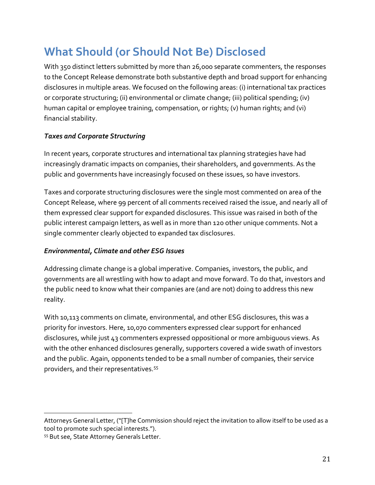### **What Should (or Should Not Be) Disclosed**

With 350 distinct letters submitted by more than 26,000 separate commenters, the responses to the Concept Release demonstrate both substantive depth and broad support for enhancing disclosures in multiple areas. We focused on the following areas: (i) international tax practices or corporate structuring; (ii) environmental or climate change; (iii) political spending; (iv) human capital or employee training, compensation, or rights; (v) human rights; and (vi) financial stability.

### *Taxes and Corporate Structuring*

In recent years, corporate structures and international tax planning strategies have had increasingly dramatic impacts on companies, their shareholders, and governments. As the public and governments have increasingly focused on these issues, so have investors.

Taxes and corporate structuring disclosures were the single most commented on area of the Concept Release, where 99 percent of all comments received raised the issue, and nearly all of them expressed clear support for expanded disclosures. This issue was raised in both of the public interest campaign letters, as well as in more than 120 other unique comments. Not a single commenter clearly objected to expanded tax disclosures.

### *Environmental, Climate and other ESG Issues*

Addressing climate change is a global imperative. Companies, investors, the public, and governments are all wrestling with how to adapt and move forward. To do that, investors and the public need to know what their companies are (and are not) doing to address this new reality.

With 10,113 comments on climate, environmental, and other ESG disclosures, this was a priority for investors. Here, 10,070 commenters expressed clear support for enhanced disclosures, while just 43 commenters expressed oppositional or more ambiguous views. As with the other enhanced disclosures generally, supporters covered a wide swath of investors and the public. Again, opponents tended to be a small number of companies, their service providers, and their representatives.<sup>55</sup>

l

Attorneys General Letter, ("[T]he Commission should reject the invitation to allow itself to be used as a tool to promote such special interests.").

<sup>55</sup> But see, State Attorney Generals Letter.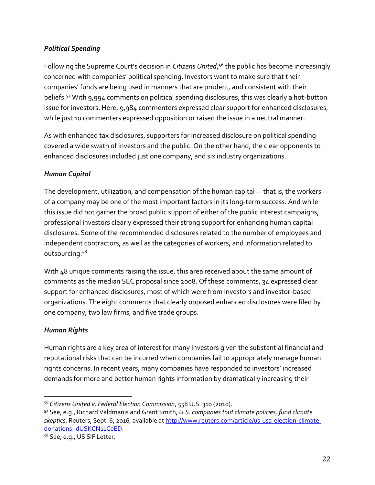### *Political Spending*

Following the Supreme Court's decision in *Citizens United*, <sup>56</sup> the public has become increasingly concerned with companies' political spending. Investors want to make sure that their companies' funds are being used in manners that are prudent, and consistent with their beliefs.<sup>57</sup> With 9,994 comments on political spending disclosures, this was clearly a hot-button issue for investors. Here, 9,984 commenters expressed clear support for enhanced disclosures, while just 10 commenters expressed opposition or raised the issue in a neutral manner.

As with enhanced tax disclosures, supporters for increased disclosure on political spending covered a wide swath of investors and the public. On the other hand, the clear opponents to enhanced disclosures included just one company, and six industry organizations.

### *Human Capital*

The development, utilization, and compensation of the human capital — that is, the workers of a company may be one of the most important factors in its long-term success. And while this issue did not garner the broad public support of either of the public interest campaigns, professional investors clearly expressed their strong support for enhancing human capital disclosures. Some of the recommended disclosures related to the number of employees and independent contractors, as well as the categories of workers, and information related to outsourcing.<sup>58</sup>

With 48 unique comments raising the issue, this area received about the same amount of comments as the median SEC proposal since 2008. Of these comments, 34 expressed clear support for enhanced disclosures, most of which were from investors and investor-based organizations. The eight comments that clearly opposed enhanced disclosures were filed by one company, two law firms, and five trade groups.

### *Human Rights*

 $\overline{a}$ 

Human rights are a key area of interest for many investors given the substantial financial and reputational risks that can be incurred when companies fail to appropriately manage human rights concerns. In recent years, many companies have responded to investors' increased demands for more and better human rights information by dramatically increasing their

<sup>56</sup> *Citizens United v. Federal Election Commission*, 558 U.S. 310 (2010).

**<sup>57</sup>** See, e.g., Richard Valdmanis and Grant Smith, *U.S. companies tout climate policies, fund climate skeptics*, Reuters, Sept. 6, 2016, available at [http://www.reuters.com/article/us-usa-election-climate](http://www.reuters.com/article/us-usa-election-climate-donations-idUSKCN11C0ED)[donations-idUSKCN11C0ED.](http://www.reuters.com/article/us-usa-election-climate-donations-idUSKCN11C0ED)

<sup>58</sup> See, e.g., US SIF Letter.